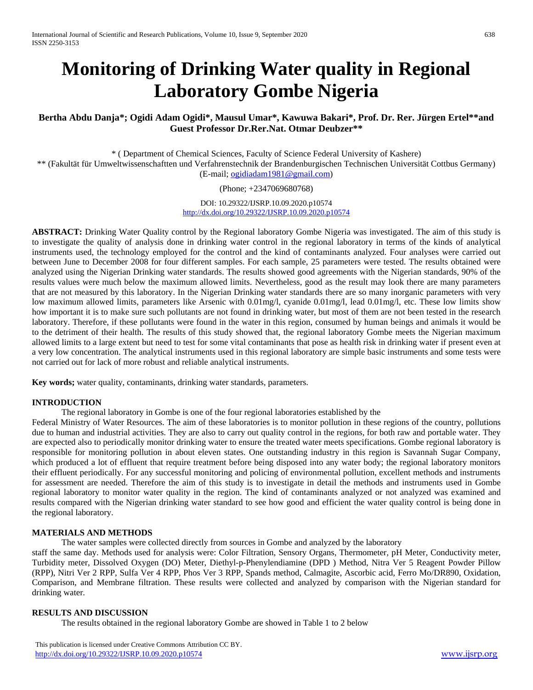# **Monitoring of Drinking Water quality in Regional Laboratory Gombe Nigeria**

# **Bertha Abdu Danja\*; Ogidi Adam Ogidi\*, Mausul Umar\*, Kawuwa Bakari\*, Prof. Dr. Rer. Jürgen Ertel\*\*and Guest Professor Dr.Rer.Nat. Otmar Deubzer\*\***

\* ( Department of Chemical Sciences, Faculty of Science Federal University of Kashere) \*\* (Fakultät für Umweltwissenschaftten und Verfahrenstechnik der Brandenburgischen Technischen Universität Cottbus Germany) (E-mail; [ogidiadam1981@gmail.com\)](mailto:ogidiadam1981@gmail.com)

(Phone; +2347069680768)

DOI: 10.29322/IJSRP.10.09.2020.p10574 <http://dx.doi.org/10.29322/IJSRP.10.09.2020.p10574>

**ABSTRACT:** Drinking Water Quality control by the Regional laboratory Gombe Nigeria was investigated. The aim of this study is to investigate the quality of analysis done in drinking water control in the regional laboratory in terms of the kinds of analytical instruments used, the technology employed for the control and the kind of contaminants analyzed. Four analyses were carried out between June to December 2008 for four different samples. For each sample, 25 parameters were tested. The results obtained were analyzed using the Nigerian Drinking water standards. The results showed good agreements with the Nigerian standards, 90% of the results values were much below the maximum allowed limits. Nevertheless, good as the result may look there are many parameters that are not measured by this laboratory. In the Nigerian Drinking water standards there are so many inorganic parameters with very low maximum allowed limits, parameters like Arsenic with 0.01mg/l, cyanide 0.01mg/l, lead 0.01mg/l, etc. These low limits show how important it is to make sure such pollutants are not found in drinking water, but most of them are not been tested in the research laboratory. Therefore, if these pollutants were found in the water in this region, consumed by human beings and animals it would be to the detriment of their health. The results of this study showed that, the regional laboratory Gombe meets the Nigerian maximum allowed limits to a large extent but need to test for some vital contaminants that pose as health risk in drinking water if present even at a very low concentration. The analytical instruments used in this regional laboratory are simple basic instruments and some tests were not carried out for lack of more robust and reliable analytical instruments.

**Key words;** water quality, contaminants, drinking water standards, parameters.

# **INTRODUCTION**

The regional laboratory in Gombe is one of the four regional laboratories established by the

Federal Ministry of Water Resources. The aim of these laboratories is to monitor pollution in these regions of the country, pollutions due to human and industrial activities. They are also to carry out quality control in the regions, for both raw and portable water. They are expected also to periodically monitor drinking water to ensure the treated water meets specifications. Gombe regional laboratory is responsible for monitoring pollution in about eleven states. One outstanding industry in this region is Savannah Sugar Company, which produced a lot of effluent that require treatment before being disposed into any water body; the regional laboratory monitors their effluent periodically. For any successful monitoring and policing of environmental pollution, excellent methods and instruments for assessment are needed. Therefore the aim of this study is to investigate in detail the methods and instruments used in Gombe regional laboratory to monitor water quality in the region. The kind of contaminants analyzed or not analyzed was examined and results compared with the Nigerian drinking water standard to see how good and efficient the water quality control is being done in the regional laboratory.

# **MATERIALS AND METHODS**

The water samples were collected directly from sources in Gombe and analyzed by the laboratory

staff the same day. Methods used for analysis were: Color Filtration, Sensory Organs, Thermometer, pH Meter, Conductivity meter, Turbidity meter, Dissolved Oxygen (DO) Meter, Diethyl-p-Phenylendiamine (DPD ) Method, Nitra Ver 5 Reagent Powder Pillow (RPP), Nitri Ver 2 RPP, Sulfa Ver 4 RPP, Phos Ver 3 RPP, Spands method, Calmagite, Ascorbic acid, Ferro Mo/DR890, Oxidation, Comparison, and Membrane filtration. These results were collected and analyzed by comparison with the Nigerian standard for drinking water.

#### **RESULTS AND DISCUSSION**

The results obtained in the regional laboratory Gombe are showed in Table 1 to 2 below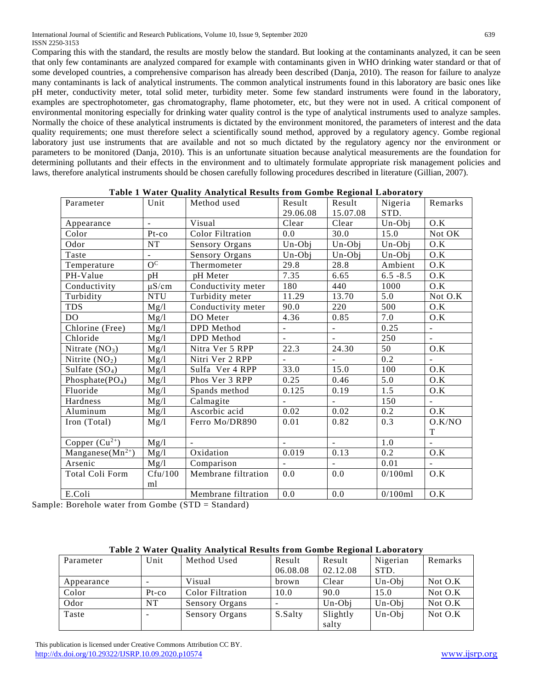Comparing this with the standard, the results are mostly below the standard. But looking at the contaminants analyzed, it can be seen that only few contaminants are analyzed compared for example with contaminants given in WHO drinking water standard or that of some developed countries, a comprehensive comparison has already been described (Danja, 2010). The reason for failure to analyze many contaminants is lack of analytical instruments. The common analytical instruments found in this laboratory are basic ones like pH meter, conductivity meter, total solid meter, turbidity meter. Some few standard instruments were found in the laboratory, examples are spectrophotometer, gas chromatography, flame photometer, etc, but they were not in used. A critical component of environmental monitoring especially for drinking water quality control is the type of analytical instruments used to analyze samples. Normally the choice of these analytical instruments is dictated by the environment monitored, the parameters of interest and the data quality requirements; one must therefore select a scientifically sound method, approved by a regulatory agency. Gombe regional laboratory just use instruments that are available and not so much dictated by the regulatory agency nor the environment or parameters to be monitored (Danja, 2010). This is an unfortunate situation because analytical measurements are the foundation for determining pollutants and their effects in the environment and to ultimately formulate appropriate risk management policies and laws, therefore analytical instruments should be chosen carefully following procedures described in literature (Gillian, 2007).

| Parameter                         | Unit                      | Method used             | Result                   | Result                   | Nigeria     | Remarks        |
|-----------------------------------|---------------------------|-------------------------|--------------------------|--------------------------|-------------|----------------|
|                                   |                           |                         | 29.06.08                 | 15.07.08                 | STD.        |                |
| Appearance                        | $\overline{a}$            | Visual                  | Clear                    | Clear                    | Un-Obj      | O.K            |
| Color                             | Pt-co                     | <b>Color Filtration</b> | 0.0                      | 30.0                     | 15.0        | Not OK         |
| Odor                              | NT                        | Sensory Organs          | Un-Obj                   | Un-Obj                   | Un-Obi      | O.K            |
| Taste                             | $\mathbb{Z}^{\mathbb{Z}}$ | Sensory Organs          | Un-Obi                   | Un-Obj                   | Un-Obj      | O.K            |
| Temperature                       | $O^{\rm C}$               | Thermometer             | 29.8                     | 28.8                     | Ambient     | O.K            |
| PH-Value                          | pH                        | pH Meter                | 7.35                     | 6.65                     | $6.5 - 8.5$ | O.K            |
| Conductivity                      | $\mu$ S/cm                | Conductivity meter      | 180                      | 440                      | 1000        | O.K            |
| Turbidity                         | <b>NTU</b>                | Turbidity meter         | 11.29                    | 13.70                    | 5.0         | Not O.K        |
| <b>TDS</b>                        | Mg/l                      | Conductivity meter      | 90.0                     | 220                      | 500         | O.K            |
| DO                                | Mg/l                      | DO Meter                | 4.36                     | 0.85                     | 7.0         | O.K            |
| Chlorine (Free)                   | Mg/l                      | DPD Method              | $\blacksquare$           | $\equiv$                 | 0.25        | $\blacksquare$ |
| Chloride                          | Mg/l                      | DPD Method              | $\overline{\phantom{a}}$ |                          | 250         | $\overline{a}$ |
| Nitrate $(NO3)$                   | Mg/l                      | Nitra Ver 5 RPP         | 22.3                     | 24.30                    | 50          | O.K            |
| Nitrite $(NO2)$                   | Mg/l                      | Nitri Ver 2 RPP         | $\mathbf{r}$             |                          | 0.2         | $\sim$         |
| Sulfate $(SO4)$                   | Mg/l                      | Sulfa Ver 4 RPP         | 33.0                     | 15.0                     | 100         | O.K            |
| Phosphate $(PO4)$                 | Mg/l                      | Phos Ver 3 RPP          | 0.25                     | 0.46                     | 5.0         | O.K            |
| Fluoride                          | Mg/l                      | Spands method           | 0.125                    | 0.19                     | 1.5         | O.K            |
| Hardness                          | Mg/l                      | Calmagite               | $\overline{\phantom{a}}$ | $\overline{\phantom{a}}$ | 150         | ÷,             |
| Aluminum                          | Mg/l                      | Ascorbic acid           | 0.02                     | 0.02                     | 0.2         | O.K            |
| Iron (Total)                      | Mg/l                      | Ferro Mo/DR890          | 0.01                     | 0.82                     | 0.3         | O.K/NO         |
|                                   |                           |                         |                          |                          |             | T              |
| Copper $(Cu^{2+})$                | Mg/l                      | $\mathbf{r}$            | $\mathbf{r}$             | $\mathbf{r}$             | 1.0         | $\mathbf{r}$   |
| Manganese( $Mn^{\overline{2+}}$ ) | Mg/l                      | Oxidation               | 0.019                    | 0.13                     | 0.2         | O.K            |
| Arsenic                           | Mg/l                      | Comparison              |                          | $\blacksquare$           | 0.01        |                |
| Total Coli Form                   | Cfu/100                   | Membrane filtration     | 0.0                      | 0.0                      | 0/100ml     | O.K            |
|                                   | ml                        |                         |                          |                          |             |                |
| E.Coli                            |                           | Membrane filtration     | 0.0                      | 0.0                      | 0/100ml     | O.K            |

| Table 1 Water Quality Analytical Results from Gombe Regional Laboratory |  |  |  |
|-------------------------------------------------------------------------|--|--|--|
|                                                                         |  |  |  |

Sample: Borehole water from Gombe (STD = Standard)

| Table 2 Water Quality Analytical Results from Gombe Regional Laboratory |  |  |  |  |
|-------------------------------------------------------------------------|--|--|--|--|
|-------------------------------------------------------------------------|--|--|--|--|

| Parameter  | Unit     | Method Used             | Result   | Result   | Nigerian | Remarks   |
|------------|----------|-------------------------|----------|----------|----------|-----------|
|            |          |                         | 06.08.08 | 02.12.08 | STD.     |           |
| Appearance |          | Visual                  | brown    | Clear    | $Un-Obj$ | Not $O.K$ |
| Color      | $Pt$ -co | <b>Color Filtration</b> | 10.0     | 90.0     | 15.0     | Not $O.K$ |
| Odor       | NT       | <b>Sensory Organs</b>   |          | $Un-Obj$ | $Un-Obj$ | Not $O.K$ |
| Taste      | -        | Sensory Organs          | S.Salty  | Slightly | $Un-Obj$ | Not $O.K$ |
|            |          |                         |          | salty    |          |           |

 This publication is licensed under Creative Commons Attribution CC BY. <http://dx.doi.org/10.29322/IJSRP.10.09.2020.p10574> [www.ijsrp.org](http://ijsrp.org/)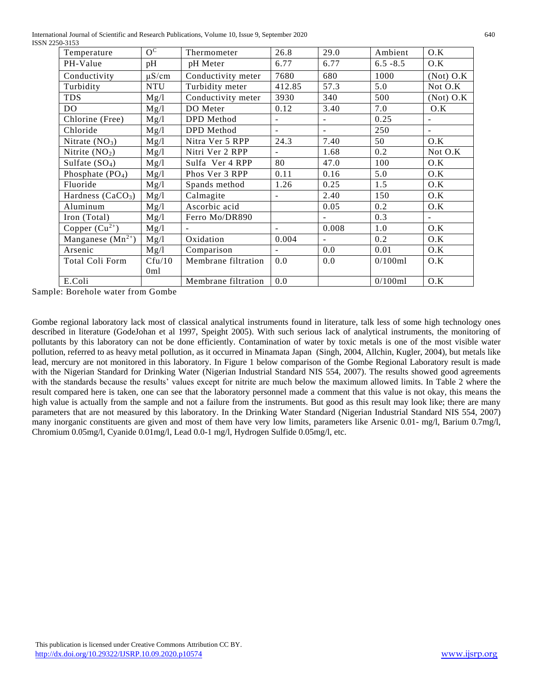International Journal of Scientific and Research Publications, Volume 10, Issue 9, September 2020 640 ISSN 2250-3153

| Temperature           | $\overline{O^C}$ | Thermometer         | 26.8              | 29.0   | Ambient     | O.K         |
|-----------------------|------------------|---------------------|-------------------|--------|-------------|-------------|
| PH-Value              | pH               | pH Meter            | 6.77              | 6.77   | $6.5 - 8.5$ | O.K         |
| Conductivity          | $\mu$ S/cm       | Conductivity meter  | 7680              | 680    | 1000        | $(Not)$ O.K |
| Turbidity             | <b>NTU</b>       | Turbidity meter     | 412.85            | 57.3   | 5.0         | Not O.K     |
| <b>TDS</b>            | Mg/l             | Conductivity meter  | 3930              | 340    | 500         | $(Not)$ O.K |
| DO.                   | Mg/l             | DO Meter            | 0.12              | 3.40   | 7.0         | O.K         |
| Chlorine (Free)       | Mg/l             | DPD Method          | $\qquad \qquad -$ |        | 0.25        |             |
| Chloride              | Mg/l             | DPD Method          | ÷                 | $\sim$ | 250         | $\sim$      |
| Nitrate $(NO3)$       | Mg/l             | Nitra Ver 5 RPP     | 24.3              | 7.40   | 50          | O.K         |
| Nitrite $(NO2)$       | Mg/l             | Nitri Ver 2 RPP     |                   | 1.68   | 0.2         | Not O.K     |
| Sulfate $(SO4)$       | Mg/l             | Sulfa Ver 4 RPP     | 80                | 47.0   | 100         | O.K         |
| Phosphate $(PO4)$     | Mg/l             | Phos Ver 3 RPP      | 0.11              | 0.16   | 5.0         | O.K         |
| Fluoride              | Mg/l             | Spands method       | 1.26              | 0.25   | 1.5         | O.K         |
| Hardness $(CaCO3)$    | Mg/l             | Calmagite           |                   | 2.40   | 150         | O.K         |
| Aluminum              | Mg/l             | Ascorbic acid       |                   | 0.05   | 0.2         | O.K         |
| Iron (Total)          | Mg/l             | Ferro Mo/DR890      |                   |        | 0.3         | $\sim$      |
| Copper $(Cu^{2+})$    | Mg/l             |                     |                   | 0.008  | 1.0         | O.K         |
| Manganese $(Mn^{2+})$ | Mg/l             | Oxidation           | 0.004             |        | 0.2         | O.K         |
| Arsenic               | Mg/l             | Comparison          |                   | 0.0    | 0.01        | O.K         |
| Total Coli Form       | Cfu/10           | Membrane filtration | 0.0               | 0.0    | 0/100ml     | O.K         |
|                       | 0ml              |                     |                   |        |             |             |
| E.Coli                |                  | Membrane filtration | 0.0               |        | 0/100ml     | O.K         |

Sample: Borehole water from Gombe

Gombe regional laboratory lack most of classical analytical instruments found in literature, talk less of some high technology ones described in literature (GodeJohan et al 1997, Speight 2005). With such serious lack of analytical instruments, the monitoring of pollutants by this laboratory can not be done efficiently. Contamination of water by toxic metals is one of the most visible water pollution, referred to as heavy metal pollution, as it occurred in Minamata Japan (Singh, 2004, Allchin, Kugler, 2004), but metals like lead, mercury are not monitored in this laboratory. In Figure 1 below comparison of the Gombe Regional Laboratory result is made with the Nigerian Standard for Drinking Water (Nigerian Industrial Standard NIS 554, 2007). The results showed good agreements with the standards because the results' values except for nitrite are much below the maximum allowed limits. In Table 2 where the result compared here is taken, one can see that the laboratory personnel made a comment that this value is not okay, this means the high value is actually from the sample and not a failure from the instruments. But good as this result may look like; there are many parameters that are not measured by this laboratory. In the Drinking Water Standard (Nigerian Industrial Standard NIS 554, 2007) many inorganic constituents are given and most of them have very low limits, parameters like Arsenic 0.01- mg/l, Barium 0.7mg/l, Chromium 0.05mg/l, Cyanide 0.01mg/l, Lead 0.0-1 mg/l, Hydrogen Sulfide 0.05mg/l, etc.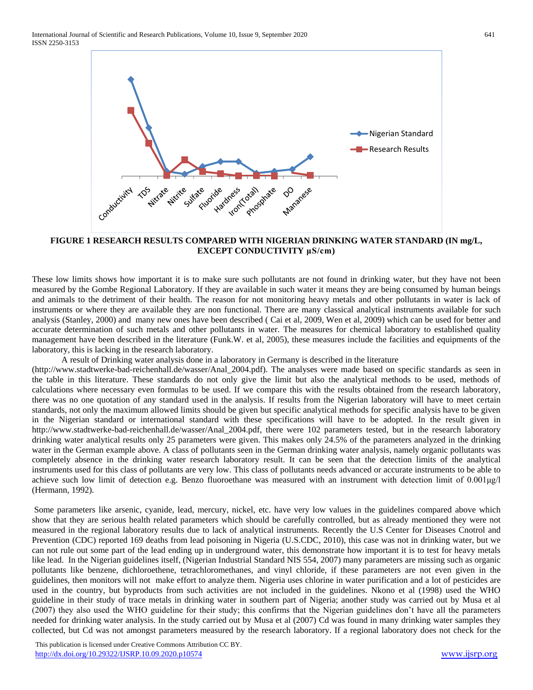

#### **FIGURE 1 RESEARCH RESULTS COMPARED WITH NIGERIAN DRINKING WATER STANDARD (IN mg/L, EXCEPT CONDUCTIVITY μS/cm)**

These low limits shows how important it is to make sure such pollutants are not found in drinking water, but they have not been measured by the Gombe Regional Laboratory. If they are available in such water it means they are being consumed by human beings and animals to the detriment of their health. The reason for not monitoring heavy metals and other pollutants in water is lack of instruments or where they are available they are non functional. There are many classical analytical instruments available for such analysis (Stanley, 2000) and many new ones have been described ( Cai et al, 2009, Wen et al, 2009) which can be used for better and accurate determination of such metals and other pollutants in water. The measures for chemical laboratory to established quality management have been described in the literature (Funk.W. et al, 2005), these measures include the facilities and equipments of the laboratory, this is lacking in the research laboratory.

A result of Drinking water analysis done in a laboratory in Germany is described in the literature

**https://www.iii.edu/2020.pdf/20.2020.pdf/20.2020.pdf/20.2020.pdf/20.2020.pdf/20.2020.pdf/20.2020.pdf/20.2020.pdf/20.2020.pdf/20.2020.pdf/20.2020.pdf/20.2020.pdf/20.2020.pdf/20.2020.pdf/20.2020.pdf/20.2020.pdf/20.2020.pdf/** [\(http://www.stadtwerke-bad-reichenhall.de/wasser/Anal\\_2004.pdf\)](http://www.stadtwerke-bad-reichenhall.de/wasser/Anal_2004.pdf). The analyses were made based on specific standards as seen in the table in this literature. These standards do not only give the limit but also the analytical methods to be used, methods of calculations where necessary even formulas to be used. If we compare this with the results obtained from the research laboratory, there was no one quotation of any standard used in the analysis. If results from the Nigerian laboratory will have to meet certain standards, not only the maximum allowed limits should be given but specific analytical methods for specific analysis have to be given in the Nigerian standard or international standard with these specifications will have to be adopted. In the result given in [http://www.stadtwerke-bad-reichenhall.de/wasser/Anal\\_2004.pdf,](http://www.stadtwerke-bad-reichenhall.de/wasser/Anal_2004.pdf) there were 102 parameters tested, but in the research laboratory drinking water analytical results only 25 parameters were given. This makes only 24.5% of the parameters analyzed in the drinking water in the German example above. A class of pollutants seen in the German drinking water analysis, namely organic pollutants was completely absence in the drinking water research laboratory result. It can be seen that the detection limits of the analytical instruments used for this class of pollutants are very low. This class of pollutants needs advanced or accurate instruments to be able to achieve such low limit of detection e.g. Benzo fluoroethane was measured with an instrument with detection limit of  $0.001\mu\text{g/l}$ (Hermann, 1992).

Some parameters like arsenic, cyanide, lead, mercury, nickel, etc. have very low values in the guidelines compared above which show that they are serious health related parameters which should be carefully controlled, but as already mentioned they were not measured in the regional laboratory results due to lack of analytical instruments. Recently the U.S Center for Diseases Cnotrol and Prevention (CDC) reported 169 deaths from lead poisoning in Nigeria (U.S.CDC, 2010), this case was not in drinking water, but we can not rule out some part of the lead ending up in underground water, this demonstrate how important it is to test for heavy metals like lead. In the Nigerian guidelines itself, (Nigerian Industrial Standard NIS 554, 2007) many parameters are missing such as organic pollutants like benzene, dichloroethene, tetrachloromethanes, and vinyl chloride, if these parameters are not even given in the guidelines, then monitors will not make effort to analyze them. Nigeria uses chlorine in water purification and a lot of pesticides are used in the country, but byproducts from such activities are not included in the guidelines. Nkono et al (1998) used the WHO guideline in their study of trace metals in drinking water in southern part of Nigeria; another study was carried out by Musa et al (2007) they also used the WHO guideline for their study; this confirms that the Nigerian guidelines don't have all the parameters needed for drinking water analysis. In the study carried out by Musa et al (2007) Cd was found in many drinking water samples they collected, but Cd was not amongst parameters measured by the research laboratory. If a regional laboratory does not check for the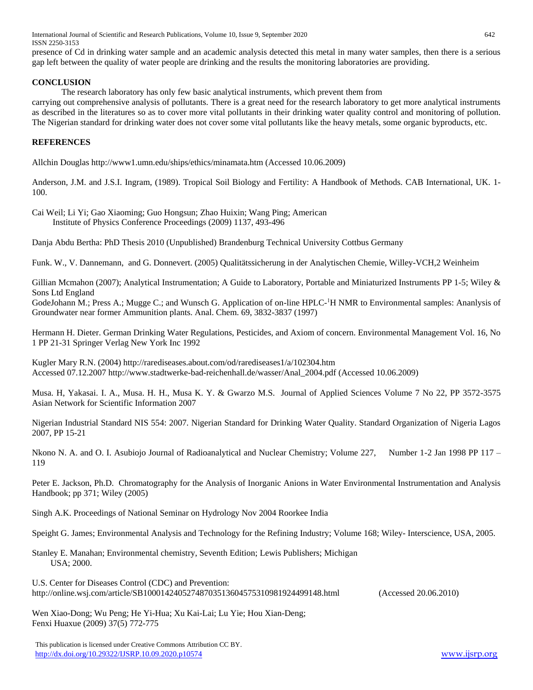International Journal of Scientific and Research Publications, Volume 10, Issue 9, September 2020 642 ISSN 2250-3153

presence of Cd in drinking water sample and an academic analysis detected this metal in many water samples, then there is a serious gap left between the quality of water people are drinking and the results the monitoring laboratories are providing.

#### **CONCLUSION**

The research laboratory has only few basic analytical instruments, which prevent them from

carrying out comprehensive analysis of pollutants. There is a great need for the research laboratory to get more analytical instruments as described in the literatures so as to cover more vital pollutants in their drinking water quality control and monitoring of pollution. The Nigerian standard for drinking water does not cover some vital pollutants like the heavy metals, some organic byproducts, etc.

# **REFERENCES**

Allchin Douglas http://www1.umn.edu/ships/ethics/minamata.htm (Accessed 10.06.2009)

Anderson, J.M. and J.S.I. Ingram, (1989). Tropical Soil Biology and Fertility: A Handbook of Methods. CAB International, UK. 1- 100.

Cai Weil; Li Yi; Gao Xiaoming; Guo Hongsun; Zhao Huixin; Wang Ping; American Institute of Physics Conference Proceedings (2009) 1137, 493-496

Danja Abdu Bertha: PhD Thesis 2010 (Unpublished) Brandenburg Technical University Cottbus Germany

Funk. W., V. Dannemann, and G. Donnevert. (2005) Qualitätssicherung in der Analytischen Chemie, Willey-VCH,2 Weinheim

Gillian Mcmahon (2007); Analytical Instrumentation; A Guide to Laboratory, Portable and Miniaturized Instruments PP 1-5; Wiley & Sons Ltd England

GodeJohann M.; Press A.; Mugge C.; and Wunsch G. Application of on-line HPLC-<sup>1</sup>H NMR to Environmental samples: Ananlysis of Groundwater near former Ammunition plants. Anal. Chem. 69, 3832-3837 (1997)

Hermann H. Dieter. German Drinking Water Regulations, Pesticides, and Axiom of concern. Environmental Management Vol. 16, No 1 PP 21-31 Springer Verlag New York Inc 1992

Kugler Mary R.N. (2004) http://rarediseases.about.com/od/rarediseases1/a/102304.htm Accessed 07.12.2007 [http://www.stadtwerke-bad-reichenhall.de/wasser/Anal\\_2004.pdf](http://www.stadtwerke-bad-reichenhall.de/wasser/Anal_2004.pdf) (Accessed 10.06.2009)

Musa. H, Yakasai. I. A., Musa. H. H., Musa K. Y. & Gwarzo M.S. Journal of Applied Sciences Volume 7 No 22, PP 3572-3575 Asian Network for Scientific Information 2007

Nigerian Industrial Standard NIS 554: 2007. Nigerian Standard for Drinking Water Quality. Standard Organization of Nigeria Lagos 2007, PP 15-21

Nkono N. A. and O. I. Asubiojo Journal of Radioanalytical and Nuclear Chemistry; Volume 227, Number 1-2 Jan 1998 PP 117 – 119

Peter E. Jackson, Ph.D. Chromatography for the Analysis of Inorganic Anions in Water Environmental Instrumentation and Analysis Handbook; pp 371; Wiley (2005)

Singh A.K. Proceedings of National Seminar on Hydrology Nov 2004 Roorkee India

Speight G. James; Environmental Analysis and Technology for the Refining Industry; Volume 168; Wiley- Interscience, USA, 2005.

Stanley E. Manahan; Environmental chemistry, Seventh Edition; Lewis Publishers; Michigan USA; 2000.

U.S. Center for Diseases Control (CDC) and Prevention: http://online.wsj.com/article/SB10001424052748703513604575310981924499148.html (Accessed 20.06.2010)

Wen Xiao-Dong; Wu Peng; He Yi-Hua; Xu Kai-Lai; Lu Yie; Hou Xian-Deng; Fenxi Huaxue (2009) 37(5) 772-775